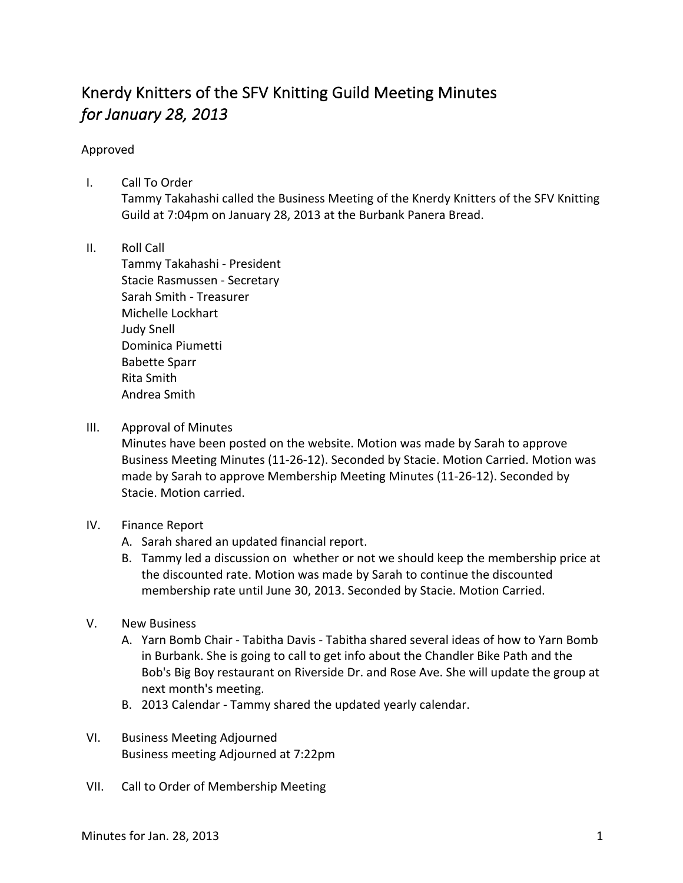## Knerdy Knitters of the SFV Knitting Guild Meeting Minutes *for January 28, 2013*

## Approved

- I. Call To Order Tammy Takahashi called the Business Meeting of the Knerdy Knitters of the SFV Knitting Guild at 7:04pm on January 28, 2013 at the Burbank Panera Bread.
- II. Roll Call

Tammy Takahashi - President Stacie Rasmussen - Secretary Sarah Smith - Treasurer Michelle Lockhart Judy Snell Dominica Piumetti Babette Sparr Rita Smith Andrea Smith

III. Approval of Minutes

Minutes have been posted on the website. Motion was made by Sarah to approve Business Meeting Minutes (11-26-12). Seconded by Stacie. Motion Carried. Motion was made by Sarah to approve Membership Meeting Minutes (11-26-12). Seconded by Stacie. Motion carried.

- IV. Finance Report
	- A. Sarah shared an updated financial report.
	- B. Tammy led a discussion on whether or not we should keep the membership price at the discounted rate. Motion was made by Sarah to continue the discounted membership rate until June 30, 2013. Seconded by Stacie. Motion Carried.
- V. New Business
	- A. Yarn Bomb Chair Tabitha Davis Tabitha shared several ideas of how to Yarn Bomb in Burbank. She is going to call to get info about the Chandler Bike Path and the Bob's Big Boy restaurant on Riverside Dr. and Rose Ave. She will update the group at next month's meeting.
	- B. 2013 Calendar Tammy shared the updated yearly calendar.
- VI. Business Meeting Adjourned Business meeting Adjourned at 7:22pm
- VII. Call to Order of Membership Meeting